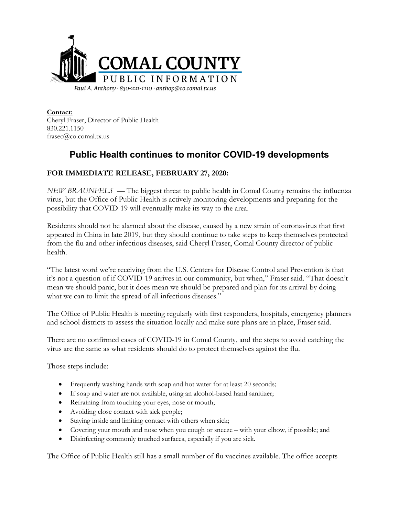

**Contact:** Cheryl Fraser, Director of Public Health 830.221.1150 frasec@co.comal.tx.us

## **Public Health continues to monitor COVID-19 developments**

## **FOR IMMEDIATE RELEASE, FEBRUARY 27, 2020:**

*NEW BRAUNFELS* — The biggest threat to public health in Comal County remains the influenza virus, but the Office of Public Health is actively monitoring developments and preparing for the possibility that COVID-19 will eventually make its way to the area.

Residents should not be alarmed about the disease, caused by a new strain of coronavirus that first appeared in China in late 2019, but they should continue to take steps to keep themselves protected from the flu and other infectious diseases, said Cheryl Fraser, Comal County director of public health.

"The latest word we're receiving from the U.S. Centers for Disease Control and Prevention is that it's not a question of if COVID-19 arrives in our community, but when," Fraser said. "That doesn't mean we should panic, but it does mean we should be prepared and plan for its arrival by doing what we can to limit the spread of all infectious diseases."

The Office of Public Health is meeting regularly with first responders, hospitals, emergency planners and school districts to assess the situation locally and make sure plans are in place, Fraser said.

There are no confirmed cases of COVID-19 in Comal County, and the steps to avoid catching the virus are the same as what residents should do to protect themselves against the flu.

Those steps include:

- Frequently washing hands with soap and hot water for at least 20 seconds;
- If soap and water are not available, using an alcohol-based hand sanitizer;
- Refraining from touching your eyes, nose or mouth;
- Avoiding close contact with sick people;
- Staying inside and limiting contact with others when sick;
- Covering your mouth and nose when you cough or sneeze with your elbow, if possible; and
- Disinfecting commonly touched surfaces, especially if you are sick.

The Office of Public Health still has a small number of flu vaccines available. The office accepts